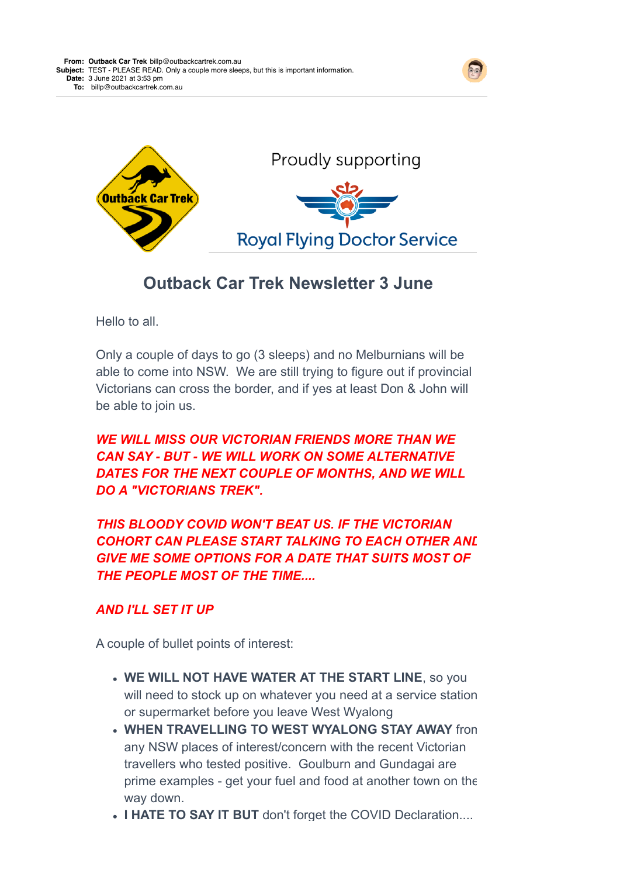



## **Outback Car Trek Newsletter 3 June**

Hello to all.

Only a couple of days to go (3 sleeps) and no Melburnians will be able to come into NSW. We are still trying to figure out if provincial Victorians can cross the border, and if yes at least Don & John will be able to join us.

## *WE WILL MISS OUR VICTORIAN FRIENDS MORE THAN WE CAN SAY - BUT - WE WILL WORK ON SOME ALTERNATIVE DATES FOR THE NEXT COUPLE OF MONTHS, AND WE WILL DO A "VICTORIANS TREK".*

*THIS BLOODY COVID WON'T BEAT US. IF THE VICTORIAN* **COHORT CAN PLEASE START TALKING TO EACH OTHER ANL** *GIVE ME SOME OPTIONS FOR A DATE THAT SUITS MOST OF THE PEOPLE MOST OF THE TIME....*

## *AND I'LL SET IT UP*

A couple of bullet points of interest:

- **WE WILL NOT HAVE WATER AT THE START LINE**, so you will need to stock up on whatever you need at a service station or supermarket before you leave West Wyalong
- **WHEN TRAVELLING TO WEST WYALONG STAY AWAY** from any NSW places of interest/concern with the recent Victorian travellers who tested positive. Goulburn and Gundagai are prime examples - get your fuel and food at another town on the way down.
- **I HATE TO SAY IT BUT** don't forget the COVID Declaration....